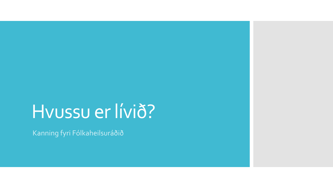## Hvussu er lívið?

Kanning fyri Fólkaheilsuráðið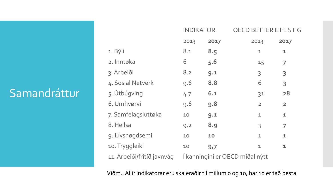### Samandráttur

|                            | <b>INDIKATOR</b>                |      | <b>OECD BETTER LIFE STIG</b> |                         |  |
|----------------------------|---------------------------------|------|------------------------------|-------------------------|--|
|                            | 2013                            | 2017 | 2013                         | 2017                    |  |
| 1. Býli                    | 8.1                             | 8.5  | $\mathbf{1}$                 | $\mathbf{1}$            |  |
| 2. Inntøka                 | 6                               | 5.6  | 15                           | 7                       |  |
| 3. Arbeiði                 | 8.2                             | 9.1  | $\overline{3}$               | 3                       |  |
| 4. Sosial Netverk          | 9.6                             | 8.8  | 6                            | 3                       |  |
| 5. Útbúgving               | 4.7                             | 6.1  | 31                           | 28                      |  |
| 6. Umhvørvi                | 9.6                             | 9.8  | $\overline{2}$               | $\overline{\mathbf{2}}$ |  |
| 7. Samfelagsluttøka        | 10                              | 9.1  | $\mathbf{1}$                 | $\mathbf{1}$            |  |
| 8. Heilsa                  | 9.2                             | 8.9  | $\overline{3}$               | 7                       |  |
| 9. Lívsnøgdsemi            | 10                              | 10   | $\mathbf{1}$                 | $\mathbf{1}$            |  |
| 10. Tryggleiki             | 10                              | 9,7  | $\mathbf{1}$                 | $\mathbf{1}$            |  |
| 11. Arbeiði/frítíð javnvág | Í kanningini er OECD miðal nýtt |      |                              |                         |  |

Viðm.: Allir indikatorar eru skaleraðir til millum 0 og 10, har 10 er tað besta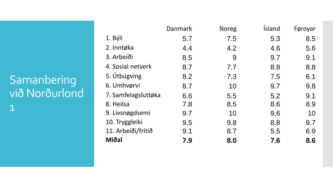### Samanbering við Norðurlond 1

|                     | Danmark | <b>Noreg</b> | İsland | Føroyar |
|---------------------|---------|--------------|--------|---------|
| 1. Býli             | 5.7     | 7.5          | 5.3    | 8.5     |
| 2. Inntøka          | 4.4     | 4.2          | 4.6    | 5.6     |
| 3. Arbeiði          | 8.5     | 9            | 9.7    | 9.1     |
| 4. Sosial netverk   | 8.7     | 7.7          | 8.8    | 8.8     |
| 5. Útbúgving        | 8.2     | 7.3          | 7.5    | 6.1     |
| 6. Umhvørvi         | 8.7     | 10           | 9.7    | 9.8     |
| 7. Samfelagsluttøka | 6.6     | 5.5          | 5.2    | 9.1     |
| 8. Heilsa           | 7.8     | 8.5          | 8.6    | 8.9     |
| 9. Lívsnøgdsemi     | 9.7     | 10           | 9.6    | 10      |
| 10. Tryggleiki      | 9.5     | 9.8          | 8.8    | 9.7     |
| 11. Arbeiði/frítíð  | 9.1     | 8.7          | 5.5    | 6.9     |
| Miðal               | 7.9     | 8.0          | 7.6    | 8.6     |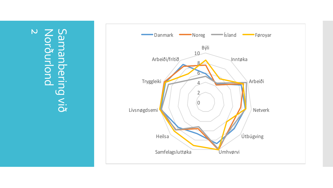Samanbering S.<br>Ox  $\overline{\mathsf{C}}$ Norðurlond

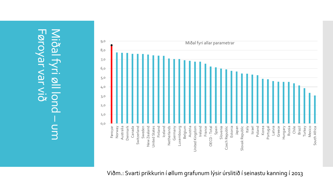Føroyar var við Føroyar var við Miðal fyri øll lond Miðal fyri øll lond – um



Viðm.: Svarti prikkurin í øllum grafunum lýsir úrslitið í seinastu kanning í 2013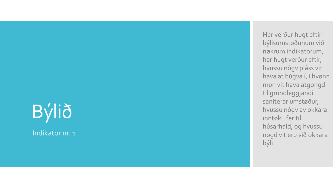## Býlið Indikator nr. 1

Her verður hugt eftir býlisumstøðunum við nøkrum indikatorum, har hugt verður eftir, hvussu nógv pláss vit hava at búgva í, í hvønn mun vit hava atgongd til grundleggjandi saniterar umstøður, hvussu nógv av okkara inntøku fer til húsarhald, og hvussu nøgd vit eru við okkara býli.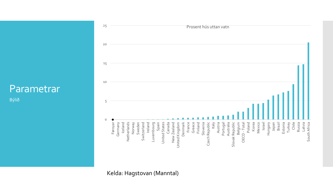Býlið



Kelda: Hagstovan (Manntal)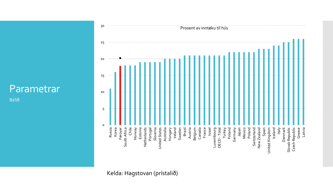Býlið



Kelda: Hagstovan (prístalið)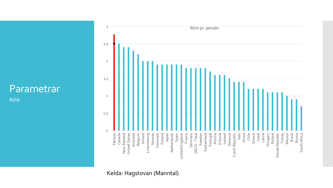Býlið



Kelda: Hagstovan (Manntal)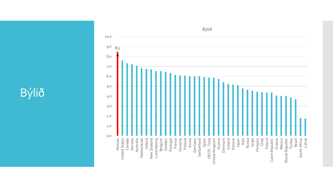## Býlið



Býlið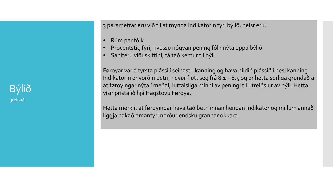Býlið greinað

3 parametrar eru við til at mynda indikatorin fyri býlið, heisr eru:

- Rúm per fólk
- Procentstig fyri, hvussu nógvan pening fólk nýta uppá býlið
- Saniteru viðuskiftini, tá tað kemur til býli

Føroyar var á fyrsta plássi í seinastu kanning og hava hildið plássið í hesi kanning. Indikatorin er vorðin betri, hevur flutt seg frá 8.1 – 8.5 og er hetta serliga grundað á at føroyingar nýta í meðal, lutfalsliga minni av peningi til útreiðslur av býli. Hetta vísir prístalið hjá Hagstovu Føroya.

Hetta merkir, at føroyingar hava tað betri innan hendan indikator og millum annað liggja nakað omanfyri norðurlendsku grannar okkara.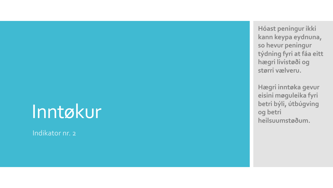## Inntøkur

Indikator nr. 2

**Hóast peningur ikki kann keypa eydnuna, so hevur peningur týdning fyri at fáa eitt hægri livistøði og størri vælveru.** 

**Hægri inntøka gevur eisini møguleika fyri betri býli, útbúgving og betri heilsuumstøðum .**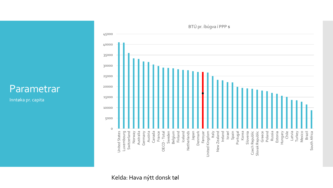Inntøka pr. capita

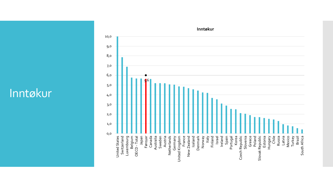### Inntøkur



#### **Inntøkur**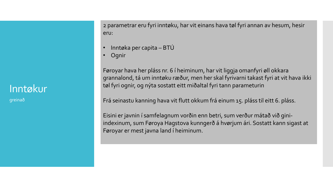#### Inntøkur

greinað

2 parametrar eru fyri inntøku, har vit einans hava tøl fyri annan av hesum, hesir eru:

- Inntøka per capita BTÚ
- Ognir

Føroyar hava her pláss nr. 6 í heiminum, har vit liggja omanfyri øll okkara grannalond, tá um inntøku ræður, men her skal fyrivarni takast fyri at vit hava ikki tøl fyri ognir, og nýta sostatt eitt miðaltal fyri tann parameturin

Frá seinastu kanning hava vit flutt okkum frá einum 15. pláss til eitt 6. pláss.

Eisini er javnin í samfelagnum vorðin enn betri, sum verður mátað við giniindexinum, sum Føroya Hagstova kunngerð á hvørjum ári. Sostatt kann sigast at Føroyar er mest javna land í heiminum.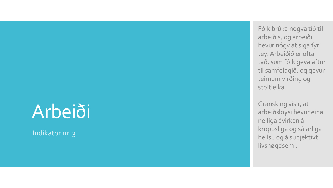## Arbeiði

Indikator nr. 3

Fólk brúka nógva tíð til arbeiðis, og arbeiði hevur nógv at siga fyri tey. Arbeiðið er ofta tað, sum fólk geva aftur til samfelagið, og gevur teimum virðing og stoltleika.

Gransking vísir, at arbeiðsloysi hevur eina neiliga ávirkan á kroppsliga og sálarliga heilsu og á subjektivt lívsnøgdsemi.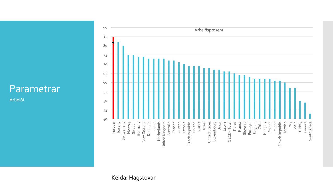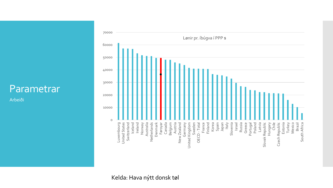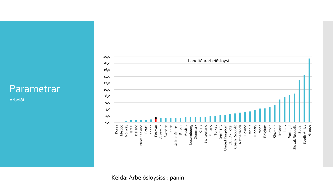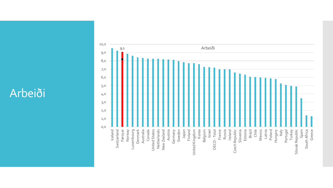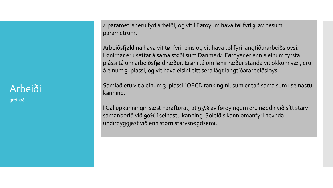### Arbeiði

greinað

4 parametrar eru fyri arbeiði, og vit í Føroyum hava tøl fyri 3 av hesum parametrum.

Arbeiðsfjøldina hava vit tøl fyri, eins og vit hava tøl fyri langtíðararbeiðsloysi. Lønirnar eru settar á sama støði sum Danmark. Føroyar er enn á einum fyrsta plássi tá um arbeiðsfjøld ræður. Eisini tá um lønir ræður standa vit okkum væl, eru á einum 3. plássi, og vit hava eisini eitt sera lágt langtíðararbeiðsloysi.

Samlað eru vit á einum 3. plássi í OECD rankingini, sum er tað sama sum í seinastu kanning.

Í Gallupkanningin sæst harafturat, at 95% av føroyingum eru nøgdir við sítt starv samanborið við 90% í seinastu kanning. Soleiðis kann omanfyri nevnda undirbyggjast við enn størri starvsnøgdsemi.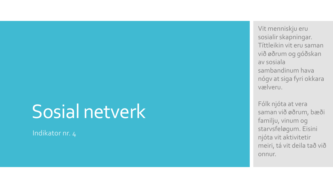## Sosial netverk

Indikator nr. 4

Vit menniskju eru sosialir skapningar. Títtleikin vit eru saman við øðrum og góðskan av sosiala sambandinum hava nógv at siga fyri okkara vælveru.

Fólk njóta at vera saman við øðrum, bæði familju, vinum og starvsfeløgum. Eisini njóta vit aktivitetir meiri, tá vit deila tað við onnur.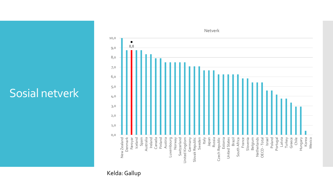### Sosial netverk



Kelda: Gallup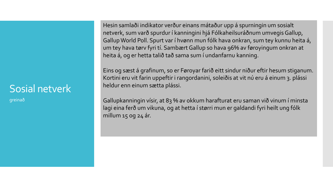### Sosial netverk

greinað

Hesin samlaði indikator verður einans mátaður upp á spurningin um sosialt netverk, sum varð spurdur í kanningini hjá Fólkaheilsuráðnum umvegis Gallup, Gallup World Poll. Spurt var í hvønn mun fólk hava onkran, sum tey kunnu heita á, um tey hava tørv fyri tí. Sambært Gallup so hava 96% av føroyingum onkran at heita á, og er hetta talið tað sama sum í undanfarnu kanning.

Eins og sæst á grafinum, so er Føroyar farið eitt sindur niður eftir hesum stiganum. Kortini eru vit farin uppeftir i rangordanini, soleiðis at vit nú eru á einum 3. plássi heldur enn einum sætta plássi.

Gallupkanningin vísir, at 83 % av okkum harafturat eru saman við vinum í minsta lagi eina ferð um vikuna, og at hetta í størri mun er galdandi fyri heilt ung fólk millum 15 og 24 ár.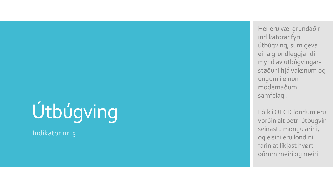# Útbúgving

Indikator nr. 5

Her eru væl grundaðir indikatorar fyri útbúgving, sum geva eina grundleggjandi mynd av útbúgvingar støðuni hjá vaksnum og ungum í einum modernaðum samfelagi.

Fólk í OECD londum eru vorðin alt betri útbúgvin seinastu mongu árini, og eisini eru londini farin at líkjast hvørt øðrum meiri og meiri.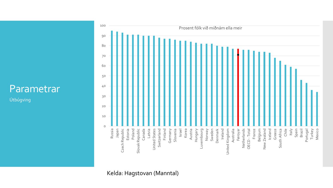Útbúgving



Kelda: Hagstovan (Manntal)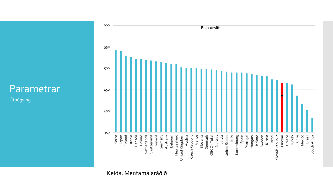Útbúgving

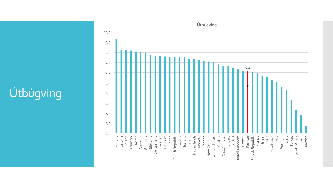## Útbúgving

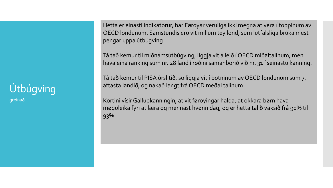## Útbúgving

greinað

Hetta er einasti indikatorur, har Føroyar veruliga ikki megna at vera í toppinum av OECD londunum. Samstundis eru vit millum tey lond, sum lutfalsliga brúka mest pengar uppá útbúgving.

Tá tað kemur til miðnámsútbúgving, liggja vit á leið í OECD miðaltalinum, men hava eina ranking sum nr. 28 land í røðini samanborið við nr. 31 í seinastu kanning.

Tá tað kemur til PISA úrslitið, so liggja vit í botninum av OECD londunum sum 7. aftasta landið, og nakað langt frá OECD meðal talinum.

Kortini vísir Gallupkanningin, at vit føroyingar halda, at okkara børn hava møguleika fyri at læra og mennast hvønn dag, og er hetta talið vaksið frá 90% til 93%.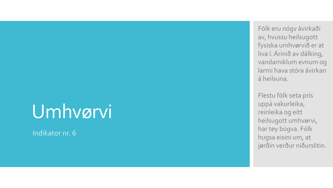## Umhvørvi

Indikator nr. 6

Fólk eru nógv ávirkaði av, hvussu heilsugott fysiska umhvørvið er at liva í. Árinið av dálking, vandamiklum evnum og larmi hava stóra ávirkan á heilsuna.

Flestu fólk seta prís uppá vakurleika, reinleika og eitt heilsugott umhvørvi, har tey búgva. Fólk hugsa eisini um, at jørðin verður niðurslitin.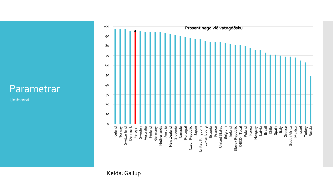Umhvørvi

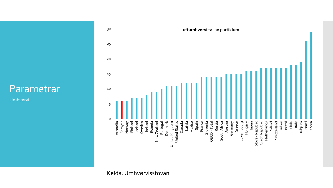Umhvørvi



Kelda: Umhvørvisstovan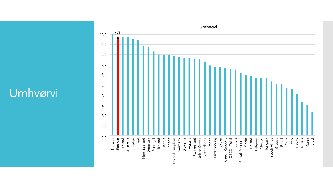### Umhvørvi

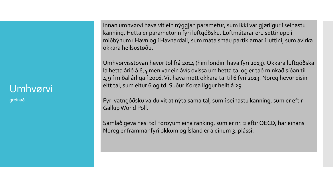#### Umhvørvi

greinað

Innan umhvørvi hava vit ein nýggjan parametur, sum ikki var gjørligur í seinastu kanning. Hetta er parameturin fyri luftgóðsku. Luftmátarar eru settir upp í miðbýnum í Havn og í Havnardali, sum máta smáu partiklarnar í luftini, sum ávirka okkara heilsustøðu.

Umhvørvisstovan hevur tøl frá 2014 (hini londini hava fyri 2013). Okkara luftgóðska lá hetta árið á 6,4 men var ein ávís óvissa um hetta tal og er tað minkað síðan til 4,9 í miðal árliga í 2016. Vit hava mett okkara tal til 6 fyri 2013. Noreg hevur eisini eitt tal, sum eitur 6 og td. Suður Korea liggur heilt á 29.

Fyri vatngóðsku valdu vit at nýta sama tal, sum í seinastu kanning, sum er eftir GallupWorld Poll.

Samlað geva hesi tøl Føroyum eina ranking, sum er nr. 2 eftir OECD, har einans Noreg er frammanfyri okkum og Ísland er á einum 3. plássi.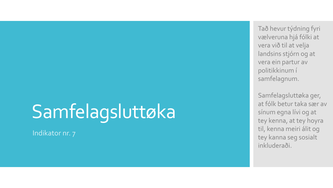## Samfelagsluttøka

Indikator nr. 7

Tað hevur týdning fyri vælveruna hjá fólki at vera við til at velja landsins stjórn og at vera ein partur av politikkinum í samfelagnum.

Samfelagsluttøka ger, at fólk betur taka sær av sínum egna lívi og at tey kenna, at tey hoyra til, kenna meiri álit og tey kanna seg sosialt inkluderaði.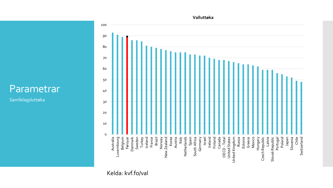Samfelagsluttøka



#### Kelda: kvf.fo/val

**Valluttøka**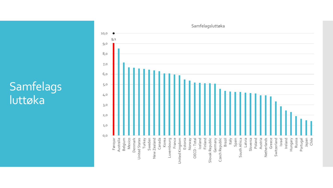### Samfelags luttøka

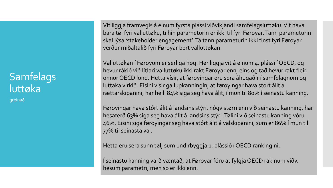### Samfelags luttøka

greinað

Vit liggja framvegis á einum fyrsta plássi viðvíkjandi samfelagsluttøku. Vit hava bara tøl fyri valluttøku, tí hin parameturin er ikki til fyri Føroyar. Tann parameturin skal lýsa 'stakeholder engagement'. Tá tann parameturin ikki finst fyri Føroyar verður miðaltalið fyri Føroyar bert valluttøkan.

Valluttøkan í Føroyum er serliga høg. Her liggja vit á einum 4. plássi í OECD, og hevur rákið við lítlari valluttøku ikki rakt Føroyar enn, eins og tað hevur rakt fleiri onnur OECD lond. Hetta vísir, at føroyingar eru sera áhugaðir í samfelagnum og luttaka virkið. Eisini vísir gallupkanningin, at føroyingar hava stórt álit á rættarskipanini, har heili 84% siga seg hava álit, í mun til 80% í seinastu kanning.

Føroyingar hava stórt álit á landsins stýri, nógv størri enn við seinastu kanning, har hesaferð 63% siga seg hava álit á landsins stýri. Tølini við seinastu kanning vóru 46%. Eisini siga føroyingar seg hava stórt álit á valskipanini, sum er 86% í mun til 77% til seinasta val.

Hetta eru sera sunn tøl, sum undirbyggja 1. plássið í OECD rankingini.

Í seinastu kanning varð væntað, at Føroyar fóru at fylgja OECD rákinum viðv. hesum parametri, men so er ikki enn.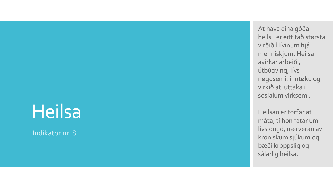## Heilsa

Indikator nr. 8

At hava eina góða heilsu er eitt tað størsta virðið í lívinum hjá menniskjum. Heilsan ávirkar arbeiði, útbúgving, lívs nøgdsemi, inntøku og virkið at luttaka í sosialum virksemi.

Heilsan er torfør at máta, tí hon fatar um lívslongd, nærveran av kroniskum sjúkum og bæði kroppslig og sálarlig heilsa.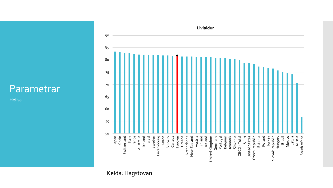Heilsa



#### Kelda: Hagstovan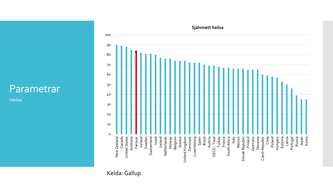Heilsa

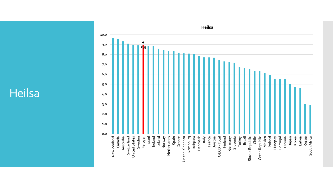### Heilsa

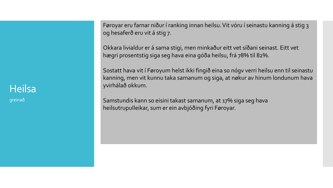#### **Heilsa**

greinað

Føroyar eru farnar niður í ranking innan heilsu. Vit vóru í seinastu kanning á stig 3 og hesaferð eru vit á stig 7.

Okkara livialdur er á sama stigi, men minkaður eitt vet síðani seinast. Eitt vet hægri prosentstig siga seg hava eina góða heilsu, frá 78% til 82%.

Sostatt hava vit í Føroyum helst ikki fingið eina so nógv verri heilsu enn til seinastu kanning, men vit kunnu taka samanum og siga, at nøkur av hinum londunum hava yvirhálað okkum.

Samstundis kann so eisini takast samanum, at 17% siga seg hava heilsutrupulleikar, sum er ein avbjóðing fyri Føroyar.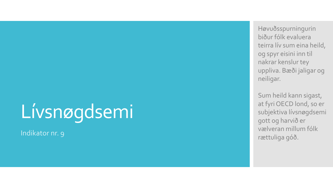# Lívsnøgdsemi

Indikator nr. 9

Høvuðsspurningurin biður fólk evaluera teirra lív sum eina heild, og spyr eisini inn til nakrar kenslur tey uppliva. Bæði jaligar og neiligar.

Sum heild kann sigast, at fyri OECD lond, so er subjektiva lívsnøgdsemi gott og harvið er vælveran millum fólk rættuliga góð.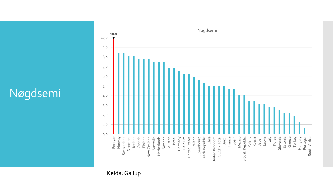## Nøgdsemi



Kelda: Gallup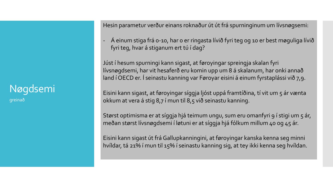Nøgdsemi

greinað

Hesin parametur verður einans roknaður út út frá spurninginum um lívsnøgsemi:

- Á einum stiga frá 0-10, har 0 er ringasta lívið fyri teg og 10 er best møguliga lívið fyri teg, hvar á stiganum ert tú í dag?

Júst í hesum spurningi kann sigast, at føroyingar spreingja skalan fyri lívsnøgdsemi, har vit hesaferð eru komin upp um 8 á skalanum, har onki annað land í OECD er. Í seinastu kanning var Føroyar eisini á einum fyrstaplássi við 7,9.

Eisini kann sigast, at føroyingar síggja ljóst uppá framtíðina, tí vit um 5 ár vænta okkum at vera á stig 8,7 í mun til 8,5 við seinastu kanning.

Størst optimisma er at síggja hjá teimum ungu, sum eru omanfyri 9 í stigi um 5 ár, meðan størst lívsnøgdsemi í løtuni er at síggja hjá fólkum millum 40 og 45 ár.

Eisini kann sigast út frá Gallupkanningini, at føroyingar kanska kenna seg minni hvíldar, tá 21% í mun til 15% í seinastu kanning sig, at tey ikki kenna seg hvíldan.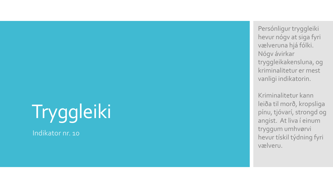# Tryggleiki

Indikator nr. 10

Persónligur tryggleiki hevur nógv at siga fyri vælveruna hjá fólki. Nógv ávirkar tryggleikakensluna, og kriminalitetur er mest vanligi indikatorin.

Kriminalitetur kann leiða til morð, kropsliga pínu, tjóvarí, strongd og angist. At liva í einum tryggum umhvørvi hevur tískil týdning fyri vælveru.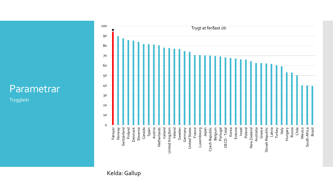Tryggleiki

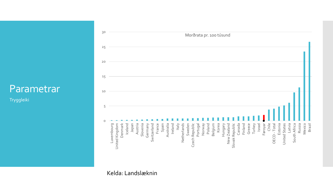Tryggleiki



Kelda: Landslæknin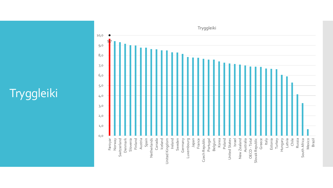## **Tryggleiki**

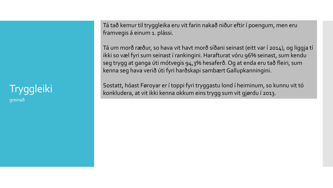#### **Tryggleiki** greinað

Tá tað kemur til tryggleika eru vit farin nakað niður eftir í poengum, men eru framvegis á einum 1. plássi.

Tá um morð ræður, so hava vit havt morð síðani seinast (eitt var í 2014), og liggja tí ikki so væl fyri sum seinast í rankingini. Harafturat vóru 96% seinast, sum kendu seg trygg at ganga úti mótvegis 94,3% hesaferð. Og at enda eru tað fleiri, sum kenna seg hava verið úti fyri harðskapi sambært Gallupkanningini.

Sostatt, hóast Føroyar er í toppi fyri tryggastu lond í heiminum, so kunnu vit tó konkludera, at vit ikki kenna okkum eins trygg sum vit gjørdu í 2013.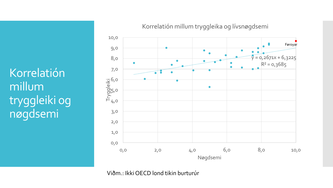Korrelatión millum tryggleiki og nøgdsemi



Korrelatión millum tryggleika og lívsnøgdsemi

Viðm.: Ikki OECD lond tikin burturúr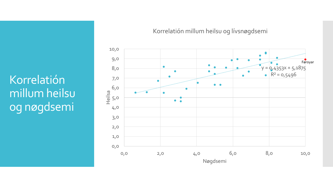Korrelatión millum heilsu og nøgdsemi



#### Korrelatión millum heilsu og lívsnøgdsemi